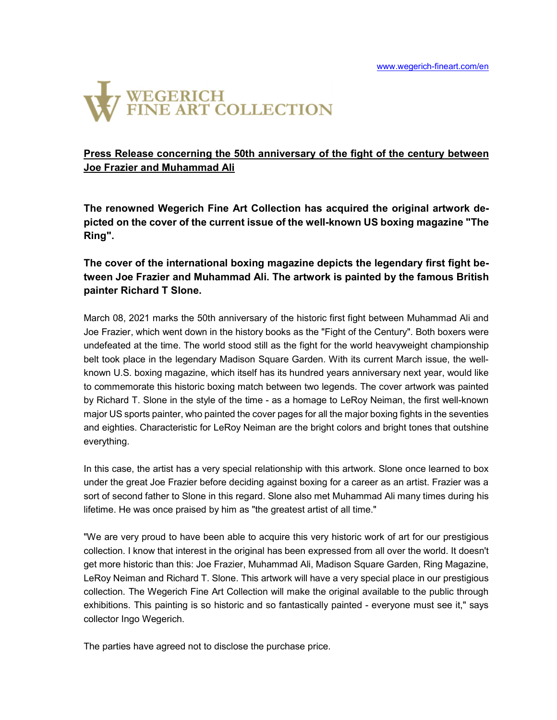

## Press Release concerning the 50th anniversary of the fight of the century between Joe Frazier and Muhammad Ali

The renowned Wegerich Fine Art Collection has acquired the original artwork depicted on the cover of the current issue of the well-known US boxing magazine "The Ring".

# The cover of the international boxing magazine depicts the legendary first fight between Joe Frazier and Muhammad Ali. The artwork is painted by the famous British painter Richard T Slone.

March 08, 2021 marks the 50th anniversary of the historic first fight between Muhammad Ali and Joe Frazier, which went down in the history books as the "Fight of the Century". Both boxers were undefeated at the time. The world stood still as the fight for the world heavyweight championship belt took place in the legendary Madison Square Garden. With its current March issue, the wellknown U.S. boxing magazine, which itself has its hundred years anniversary next year, would like to commemorate this historic boxing match between two legends. The cover artwork was painted by Richard T. Slone in the style of the time - as a homage to LeRoy Neiman, the first well-known major US sports painter, who painted the cover pages for all the major boxing fights in the seventies and eighties. Characteristic for LeRoy Neiman are the bright colors and bright tones that outshine everything.

In this case, the artist has a very special relationship with this artwork. Slone once learned to box under the great Joe Frazier before deciding against boxing for a career as an artist. Frazier was a sort of second father to Slone in this regard. Slone also met Muhammad Ali many times during his lifetime. He was once praised by him as "the greatest artist of all time."

"We are very proud to have been able to acquire this very historic work of art for our prestigious collection. I know that interest in the original has been expressed from all over the world. It doesn't get more historic than this: Joe Frazier, Muhammad Ali, Madison Square Garden, Ring Magazine, LeRoy Neiman and Richard T. Slone. This artwork will have a very special place in our prestigious collection. The Wegerich Fine Art Collection will make the original available to the public through exhibitions. This painting is so historic and so fantastically painted - everyone must see it," says collector Ingo Wegerich.

The parties have agreed not to disclose the purchase price.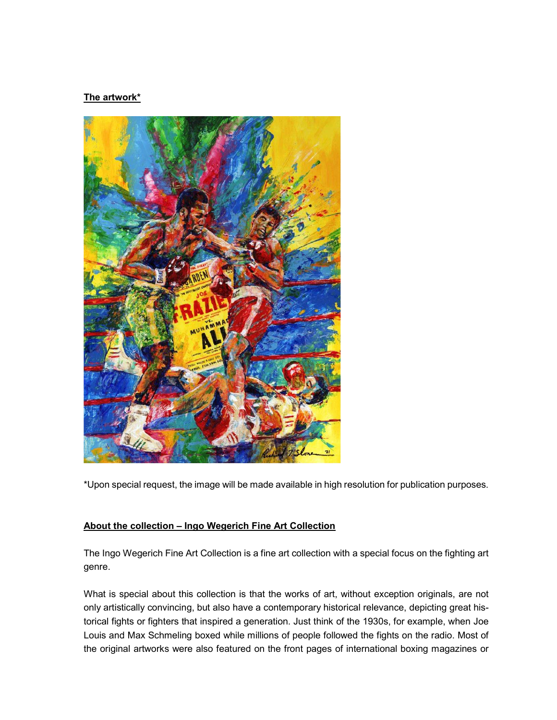### The artwork\*



\*Upon special request, the image will be made available in high resolution for publication purposes.

#### About the collection – Ingo Wegerich Fine Art Collection

The Ingo Wegerich Fine Art Collection is a fine art collection with a special focus on the fighting art genre.

What is special about this collection is that the works of art, without exception originals, are not only artistically convincing, but also have a contemporary historical relevance, depicting great historical fights or fighters that inspired a generation. Just think of the 1930s, for example, when Joe Louis and Max Schmeling boxed while millions of people followed the fights on the radio. Most of the original artworks were also featured on the front pages of international boxing magazines or